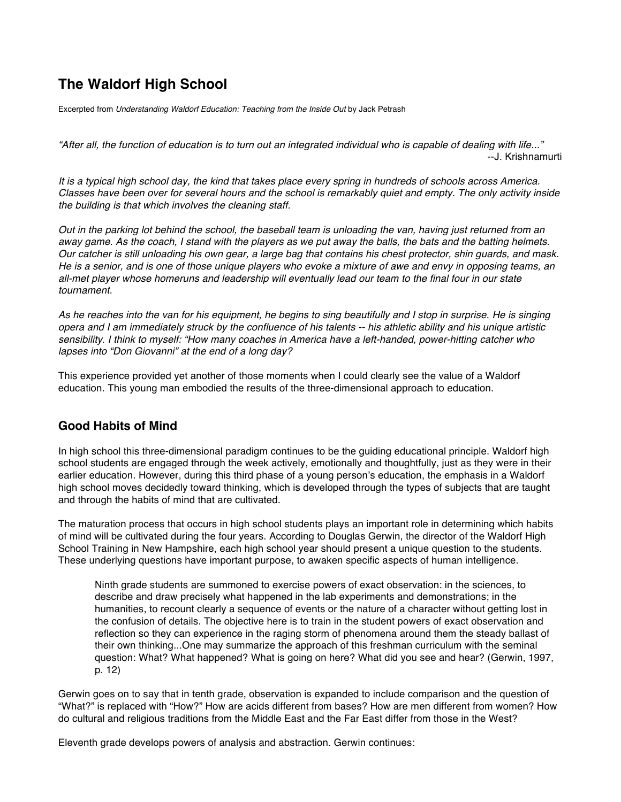# **The Waldorf High School**

Excerpted from *Understanding Waldorf Education: Teaching from the Inside Out* by Jack Petrash

*"After all, the function of education is to turn out an integrated individual who is capable of dealing with life..."* --J. Krishnamurti

*It is a typical high school day, the kind that takes place every spring in hundreds of schools across America. Classes have been over for several hours and the school is remarkably quiet and empty. The only activity inside the building is that which involves the cleaning staff.* 

*Out in the parking lot behind the school, the baseball team is unloading the van, having just returned from an away game. As the coach, I stand with the players as we put away the balls, the bats and the batting helmets. Our catcher is still unloading his own gear, a large bag that contains his chest protector, shin guards, and mask. He is a senior, and is one of those unique players who evoke a mixture of awe and envy in opposing teams, an all-met player whose homeruns and leadership will eventually lead our team to the final four in our state tournament.*

*As he reaches into the van for his equipment, he begins to sing beautifully and I stop in surprise. He is singing opera and I am immediately struck by the confluence of his talents -- his athletic ability and his unique artistic sensibility. I think to myself: "How many coaches in America have a left-handed, power-hitting catcher who lapses into "Don Giovanni" at the end of a long day?*

This experience provided yet another of those moments when I could clearly see the value of a Waldorf education. This young man embodied the results of the three-dimensional approach to education.

#### **Good Habits of Mind**

In high school this three-dimensional paradigm continues to be the guiding educational principle. Waldorf high school students are engaged through the week actively, emotionally and thoughtfully, just as they were in their earlier education. However, during this third phase of a young person's education, the emphasis in a Waldorf high school moves decidedly toward thinking, which is developed through the types of subjects that are taught and through the habits of mind that are cultivated.

The maturation process that occurs in high school students plays an important role in determining which habits of mind will be cultivated during the four years. According to Douglas Gerwin, the director of the Waldorf High School Training in New Hampshire, each high school year should present a unique question to the students. These underlying questions have important purpose, to awaken specific aspects of human intelligence.

Ninth grade students are summoned to exercise powers of exact observation: in the sciences, to describe and draw precisely what happened in the lab experiments and demonstrations; in the humanities, to recount clearly a sequence of events or the nature of a character without getting lost in the confusion of details. The objective here is to train in the student powers of exact observation and reflection so they can experience in the raging storm of phenomena around them the steady ballast of their own thinking...One may summarize the approach of this freshman curriculum with the seminal question: What? What happened? What is going on here? What did you see and hear? (Gerwin, 1997, p. 12)

Gerwin goes on to say that in tenth grade, observation is expanded to include comparison and the question of "What?" is replaced with "How?" How are acids different from bases? How are men different from women? How do cultural and religious traditions from the Middle East and the Far East differ from those in the West?

Eleventh grade develops powers of analysis and abstraction. Gerwin continues: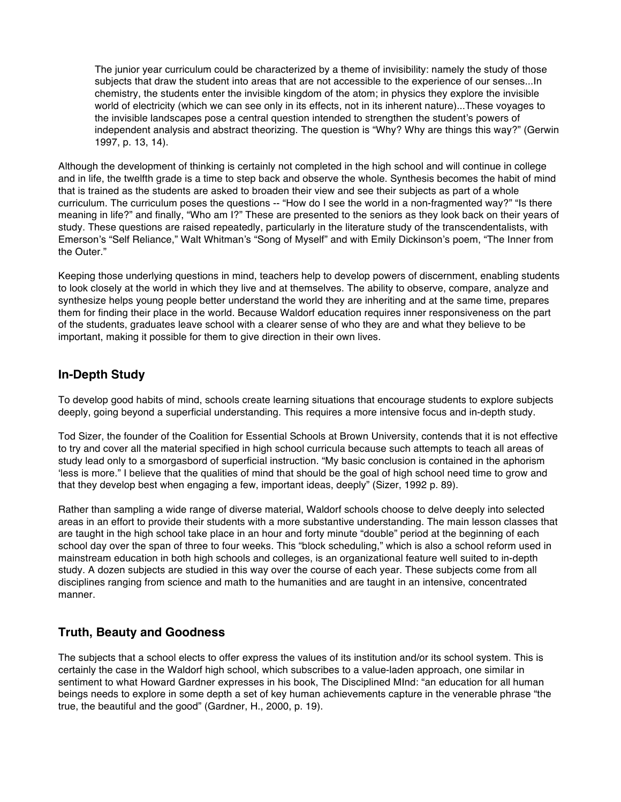The junior year curriculum could be characterized by a theme of invisibility: namely the study of those subjects that draw the student into areas that are not accessible to the experience of our senses...In chemistry, the students enter the invisible kingdom of the atom; in physics they explore the invisible world of electricity (which we can see only in its effects, not in its inherent nature)...These voyages to the invisible landscapes pose a central question intended to strengthen the student's powers of independent analysis and abstract theorizing. The question is "Why? Why are things this way?" (Gerwin 1997, p. 13, 14).

Although the development of thinking is certainly not completed in the high school and will continue in college and in life, the twelfth grade is a time to step back and observe the whole. Synthesis becomes the habit of mind that is trained as the students are asked to broaden their view and see their subjects as part of a whole curriculum. The curriculum poses the questions -- "How do I see the world in a non-fragmented way?" "Is there meaning in life?" and finally, "Who am I?" These are presented to the seniors as they look back on their years of study. These questions are raised repeatedly, particularly in the literature study of the transcendentalists, with Emerson's "Self Reliance," Walt Whitman's "Song of Myself" and with Emily Dickinson's poem, "The Inner from the Outer."

Keeping those underlying questions in mind, teachers help to develop powers of discernment, enabling students to look closely at the world in which they live and at themselves. The ability to observe, compare, analyze and synthesize helps young people better understand the world they are inheriting and at the same time, prepares them for finding their place in the world. Because Waldorf education requires inner responsiveness on the part of the students, graduates leave school with a clearer sense of who they are and what they believe to be important, making it possible for them to give direction in their own lives.

# **In-Depth Study**

To develop good habits of mind, schools create learning situations that encourage students to explore subjects deeply, going beyond a superficial understanding. This requires a more intensive focus and in-depth study.

Tod Sizer, the founder of the Coalition for Essential Schools at Brown University, contends that it is not effective to try and cover all the material specified in high school curricula because such attempts to teach all areas of study lead only to a smorgasbord of superficial instruction. "My basic conclusion is contained in the aphorism 'less is more." I believe that the qualities of mind that should be the goal of high school need time to grow and that they develop best when engaging a few, important ideas, deeply" (Sizer, 1992 p. 89).

Rather than sampling a wide range of diverse material, Waldorf schools choose to delve deeply into selected areas in an effort to provide their students with a more substantive understanding. The main lesson classes that are taught in the high school take place in an hour and forty minute "double" period at the beginning of each school day over the span of three to four weeks. This "block scheduling," which is also a school reform used in mainstream education in both high schools and colleges, is an organizational feature well suited to in-depth study. A dozen subjects are studied in this way over the course of each year. These subjects come from all disciplines ranging from science and math to the humanities and are taught in an intensive, concentrated manner.

# **Truth, Beauty and Goodness**

The subjects that a school elects to offer express the values of its institution and/or its school system. This is certainly the case in the Waldorf high school, which subscribes to a value-laden approach, one similar in sentiment to what Howard Gardner expresses in his book, The Disciplined MInd: "an education for all human beings needs to explore in some depth a set of key human achievements capture in the venerable phrase "the true, the beautiful and the good" (Gardner, H., 2000, p. 19).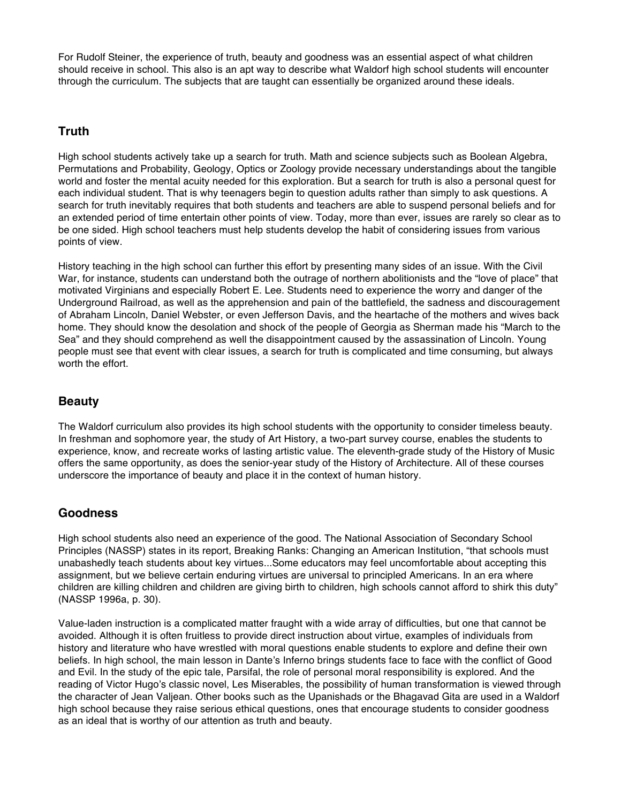For Rudolf Steiner, the experience of truth, beauty and goodness was an essential aspect of what children should receive in school. This also is an apt way to describe what Waldorf high school students will encounter through the curriculum. The subjects that are taught can essentially be organized around these ideals.

# **Truth**

High school students actively take up a search for truth. Math and science subjects such as Boolean Algebra, Permutations and Probability, Geology, Optics or Zoology provide necessary understandings about the tangible world and foster the mental acuity needed for this exploration. But a search for truth is also a personal quest for each individual student. That is why teenagers begin to question adults rather than simply to ask questions. A search for truth inevitably requires that both students and teachers are able to suspend personal beliefs and for an extended period of time entertain other points of view. Today, more than ever, issues are rarely so clear as to be one sided. High school teachers must help students develop the habit of considering issues from various points of view.

History teaching in the high school can further this effort by presenting many sides of an issue. With the Civil War, for instance, students can understand both the outrage of northern abolitionists and the "love of place" that motivated Virginians and especially Robert E. Lee. Students need to experience the worry and danger of the Underground Railroad, as well as the apprehension and pain of the battlefield, the sadness and discouragement of Abraham Lincoln, Daniel Webster, or even Jefferson Davis, and the heartache of the mothers and wives back home. They should know the desolation and shock of the people of Georgia as Sherman made his "March to the Sea" and they should comprehend as well the disappointment caused by the assassination of Lincoln. Young people must see that event with clear issues, a search for truth is complicated and time consuming, but always worth the effort.

#### **Beauty**

The Waldorf curriculum also provides its high school students with the opportunity to consider timeless beauty. In freshman and sophomore year, the study of Art History, a two-part survey course, enables the students to experience, know, and recreate works of lasting artistic value. The eleventh-grade study of the History of Music offers the same opportunity, as does the senior-year study of the History of Architecture. All of these courses underscore the importance of beauty and place it in the context of human history.

# **Goodness**

High school students also need an experience of the good. The National Association of Secondary School Principles (NASSP) states in its report, Breaking Ranks: Changing an American Institution, "that schools must unabashedly teach students about key virtues...Some educators may feel uncomfortable about accepting this assignment, but we believe certain enduring virtues are universal to principled Americans. In an era where children are killing children and children are giving birth to children, high schools cannot afford to shirk this duty" (NASSP 1996a, p. 30).

Value-laden instruction is a complicated matter fraught with a wide array of difficulties, but one that cannot be avoided. Although it is often fruitless to provide direct instruction about virtue, examples of individuals from history and literature who have wrestled with moral questions enable students to explore and define their own beliefs. In high school, the main lesson in Dante's Inferno brings students face to face with the conflict of Good and Evil. In the study of the epic tale, Parsifal, the role of personal moral responsibility is explored. And the reading of Victor Hugo's classic novel, Les Miserables, the possibility of human transformation is viewed through the character of Jean Valjean. Other books such as the Upanishads or the Bhagavad Gita are used in a Waldorf high school because they raise serious ethical questions, ones that encourage students to consider goodness as an ideal that is worthy of our attention as truth and beauty.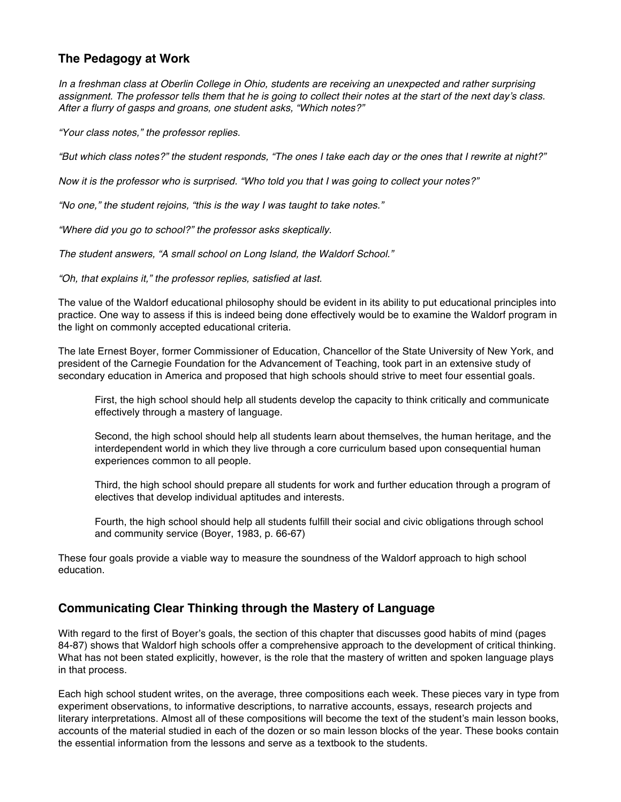### **The Pedagogy at Work**

*In a freshman class at Oberlin College in Ohio, students are receiving an unexpected and rather surprising assignment. The professor tells them that he is going to collect their notes at the start of the next day's class. After a flurry of gasps and groans, one student asks, "Which notes?"*

*"Your class notes," the professor replies.*

*"But which class notes?" the student responds, "The ones I take each day or the ones that I rewrite at night?"*

*Now it is the professor who is surprised. "Who told you that I was going to collect your notes?"*

*"No one," the student rejoins, "this is the way I was taught to take notes."*

*"Where did you go to school?" the professor asks skeptically.*

*The student answers, "A small school on Long Island, the Waldorf School."*

*"Oh, that explains it," the professor replies, satisfied at last.*

The value of the Waldorf educational philosophy should be evident in its ability to put educational principles into practice. One way to assess if this is indeed being done effectively would be to examine the Waldorf program in the light on commonly accepted educational criteria.

The late Ernest Boyer, former Commissioner of Education, Chancellor of the State University of New York, and president of the Carnegie Foundation for the Advancement of Teaching, took part in an extensive study of secondary education in America and proposed that high schools should strive to meet four essential goals.

First, the high school should help all students develop the capacity to think critically and communicate effectively through a mastery of language.

Second, the high school should help all students learn about themselves, the human heritage, and the interdependent world in which they live through a core curriculum based upon consequential human experiences common to all people.

Third, the high school should prepare all students for work and further education through a program of electives that develop individual aptitudes and interests.

Fourth, the high school should help all students fulfill their social and civic obligations through school and community service (Boyer, 1983, p. 66-67)

These four goals provide a viable way to measure the soundness of the Waldorf approach to high school education.

#### **Communicating Clear Thinking through the Mastery of Language**

With regard to the first of Boyer's goals, the section of this chapter that discusses good habits of mind (pages 84-87) shows that Waldorf high schools offer a comprehensive approach to the development of critical thinking. What has not been stated explicitly, however, is the role that the mastery of written and spoken language plays in that process.

Each high school student writes, on the average, three compositions each week. These pieces vary in type from experiment observations, to informative descriptions, to narrative accounts, essays, research projects and literary interpretations. Almost all of these compositions will become the text of the student's main lesson books, accounts of the material studied in each of the dozen or so main lesson blocks of the year. These books contain the essential information from the lessons and serve as a textbook to the students.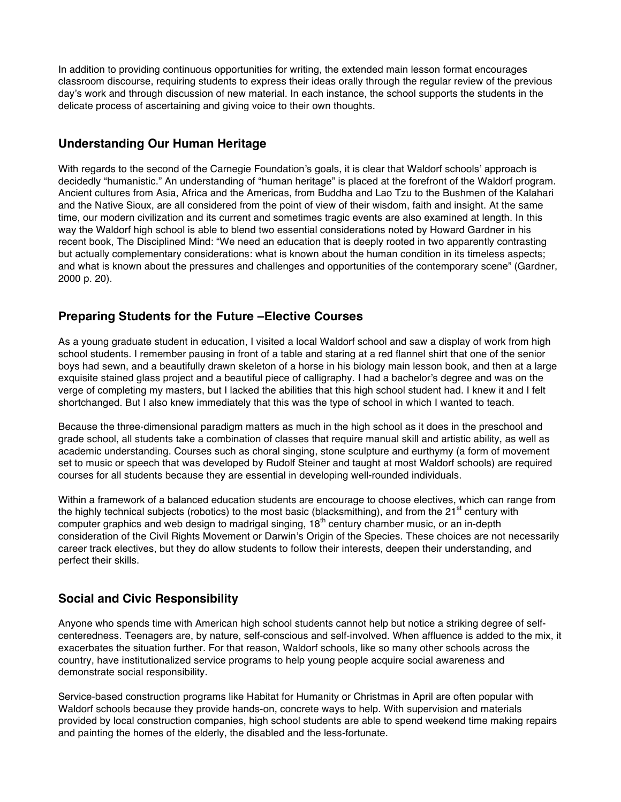In addition to providing continuous opportunities for writing, the extended main lesson format encourages classroom discourse, requiring students to express their ideas orally through the regular review of the previous day's work and through discussion of new material. In each instance, the school supports the students in the delicate process of ascertaining and giving voice to their own thoughts.

# **Understanding Our Human Heritage**

With regards to the second of the Carnegie Foundation's goals, it is clear that Waldorf schools' approach is decidedly "humanistic." An understanding of "human heritage" is placed at the forefront of the Waldorf program. Ancient cultures from Asia, Africa and the Americas, from Buddha and Lao Tzu to the Bushmen of the Kalahari and the Native Sioux, are all considered from the point of view of their wisdom, faith and insight. At the same time, our modern civilization and its current and sometimes tragic events are also examined at length. In this way the Waldorf high school is able to blend two essential considerations noted by Howard Gardner in his recent book, The Disciplined Mind: "We need an education that is deeply rooted in two apparently contrasting but actually complementary considerations: what is known about the human condition in its timeless aspects; and what is known about the pressures and challenges and opportunities of the contemporary scene" (Gardner, 2000 p. 20).

# **Preparing Students for the Future –Elective Courses**

As a young graduate student in education, I visited a local Waldorf school and saw a display of work from high school students. I remember pausing in front of a table and staring at a red flannel shirt that one of the senior boys had sewn, and a beautifully drawn skeleton of a horse in his biology main lesson book, and then at a large exquisite stained glass project and a beautiful piece of calligraphy. I had a bachelor's degree and was on the verge of completing my masters, but I lacked the abilities that this high school student had. I knew it and I felt shortchanged. But I also knew immediately that this was the type of school in which I wanted to teach.

Because the three-dimensional paradigm matters as much in the high school as it does in the preschool and grade school, all students take a combination of classes that require manual skill and artistic ability, as well as academic understanding. Courses such as choral singing, stone sculpture and eurthymy (a form of movement set to music or speech that was developed by Rudolf Steiner and taught at most Waldorf schools) are required courses for all students because they are essential in developing well-rounded individuals.

Within a framework of a balanced education students are encourage to choose electives, which can range from the highly technical subjects (robotics) to the most basic (blacksmithing), and from the 21<sup>st</sup> century with computer graphics and web design to madrigal singing, 18<sup>th</sup> century chamber music, or an in-depth consideration of the Civil Rights Movement or Darwin's Origin of the Species. These choices are not necessarily career track electives, but they do allow students to follow their interests, deepen their understanding, and perfect their skills.

# **Social and Civic Responsibility**

Anyone who spends time with American high school students cannot help but notice a striking degree of selfcenteredness. Teenagers are, by nature, self-conscious and self-involved. When affluence is added to the mix, it exacerbates the situation further. For that reason, Waldorf schools, like so many other schools across the country, have institutionalized service programs to help young people acquire social awareness and demonstrate social responsibility.

Service-based construction programs like Habitat for Humanity or Christmas in April are often popular with Waldorf schools because they provide hands-on, concrete ways to help. With supervision and materials provided by local construction companies, high school students are able to spend weekend time making repairs and painting the homes of the elderly, the disabled and the less-fortunate.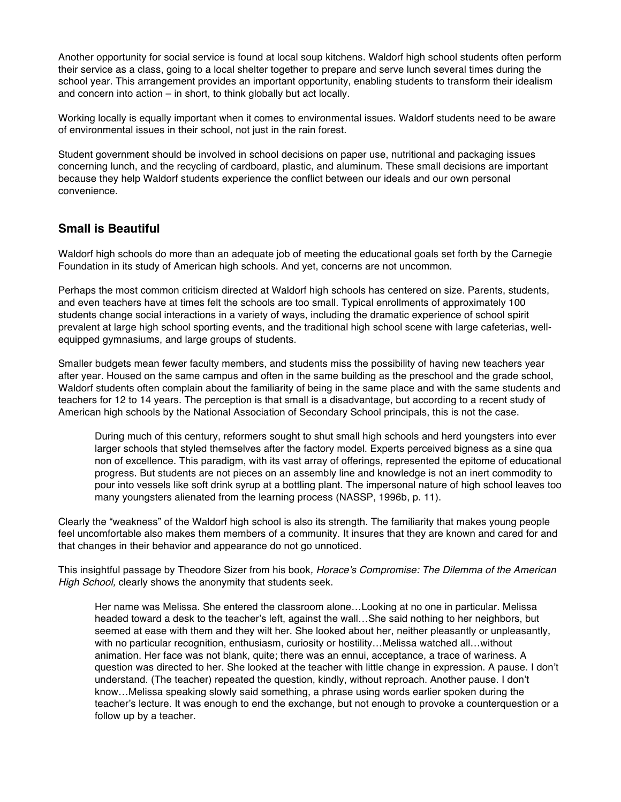Another opportunity for social service is found at local soup kitchens. Waldorf high school students often perform their service as a class, going to a local shelter together to prepare and serve lunch several times during the school year. This arrangement provides an important opportunity, enabling students to transform their idealism and concern into action – in short, to think globally but act locally.

Working locally is equally important when it comes to environmental issues. Waldorf students need to be aware of environmental issues in their school, not just in the rain forest.

Student government should be involved in school decisions on paper use, nutritional and packaging issues concerning lunch, and the recycling of cardboard, plastic, and aluminum. These small decisions are important because they help Waldorf students experience the conflict between our ideals and our own personal convenience.

#### **Small is Beautiful**

Waldorf high schools do more than an adequate job of meeting the educational goals set forth by the Carnegie Foundation in its study of American high schools. And yet, concerns are not uncommon.

Perhaps the most common criticism directed at Waldorf high schools has centered on size. Parents, students, and even teachers have at times felt the schools are too small. Typical enrollments of approximately 100 students change social interactions in a variety of ways, including the dramatic experience of school spirit prevalent at large high school sporting events, and the traditional high school scene with large cafeterias, wellequipped gymnasiums, and large groups of students.

Smaller budgets mean fewer faculty members, and students miss the possibility of having new teachers year after year. Housed on the same campus and often in the same building as the preschool and the grade school, Waldorf students often complain about the familiarity of being in the same place and with the same students and teachers for 12 to 14 years. The perception is that small is a disadvantage, but according to a recent study of American high schools by the National Association of Secondary School principals, this is not the case.

During much of this century, reformers sought to shut small high schools and herd youngsters into ever larger schools that styled themselves after the factory model. Experts perceived bigness as a sine qua non of excellence. This paradigm, with its vast array of offerings, represented the epitome of educational progress. But students are not pieces on an assembly line and knowledge is not an inert commodity to pour into vessels like soft drink syrup at a bottling plant. The impersonal nature of high school leaves too many youngsters alienated from the learning process (NASSP, 1996b, p. 11).

Clearly the "weakness" of the Waldorf high school is also its strength. The familiarity that makes young people feel uncomfortable also makes them members of a community. It insures that they are known and cared for and that changes in their behavior and appearance do not go unnoticed.

This insightful passage by Theodore Sizer from his book*, Horace's Compromise: The Dilemma of the American High School,* clearly shows the anonymity that students seek.

Her name was Melissa. She entered the classroom alone…Looking at no one in particular. Melissa headed toward a desk to the teacher's left, against the wall…She said nothing to her neighbors, but seemed at ease with them and they wilt her. She looked about her, neither pleasantly or unpleasantly, with no particular recognition, enthusiasm, curiosity or hostility…Melissa watched all…without animation. Her face was not blank, quite; there was an ennui, acceptance, a trace of wariness. A question was directed to her. She looked at the teacher with little change in expression. A pause. I don't understand. (The teacher) repeated the question, kindly, without reproach. Another pause. I don't know…Melissa speaking slowly said something, a phrase using words earlier spoken during the teacher's lecture. It was enough to end the exchange, but not enough to provoke a counterquestion or a follow up by a teacher.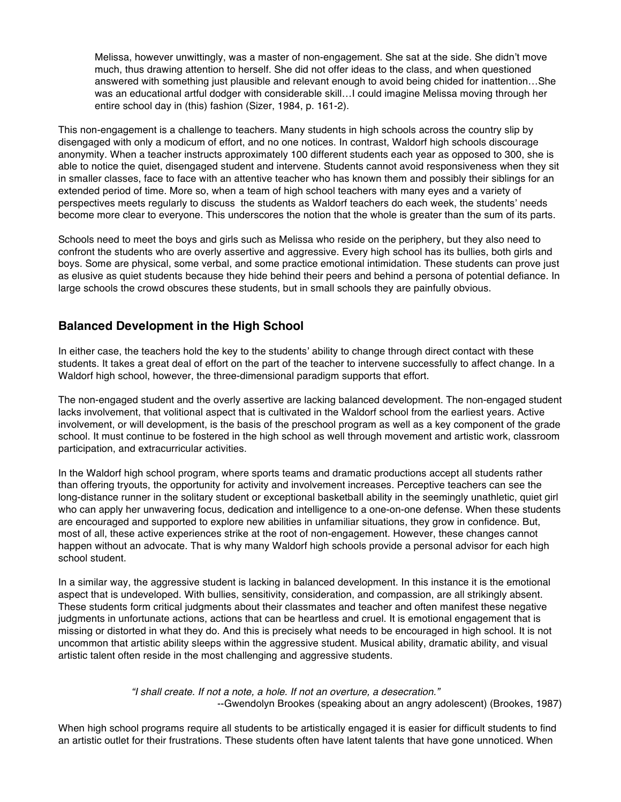Melissa, however unwittingly, was a master of non-engagement. She sat at the side. She didn't move much, thus drawing attention to herself. She did not offer ideas to the class, and when questioned answered with something just plausible and relevant enough to avoid being chided for inattention…She was an educational artful dodger with considerable skill…I could imagine Melissa moving through her entire school day in (this) fashion (Sizer, 1984, p. 161-2).

This non-engagement is a challenge to teachers. Many students in high schools across the country slip by disengaged with only a modicum of effort, and no one notices. In contrast, Waldorf high schools discourage anonymity. When a teacher instructs approximately 100 different students each year as opposed to 300, she is able to notice the quiet, disengaged student and intervene. Students cannot avoid responsiveness when they sit in smaller classes, face to face with an attentive teacher who has known them and possibly their siblings for an extended period of time. More so, when a team of high school teachers with many eyes and a variety of perspectives meets regularly to discuss the students as Waldorf teachers do each week, the students' needs become more clear to everyone. This underscores the notion that the whole is greater than the sum of its parts.

Schools need to meet the boys and girls such as Melissa who reside on the periphery, but they also need to confront the students who are overly assertive and aggressive. Every high school has its bullies, both girls and boys. Some are physical, some verbal, and some practice emotional intimidation. These students can prove just as elusive as quiet students because they hide behind their peers and behind a persona of potential defiance. In large schools the crowd obscures these students, but in small schools they are painfully obvious.

#### **Balanced Development in the High School**

In either case, the teachers hold the key to the students' ability to change through direct contact with these students. It takes a great deal of effort on the part of the teacher to intervene successfully to affect change. In a Waldorf high school, however, the three-dimensional paradigm supports that effort.

The non-engaged student and the overly assertive are lacking balanced development. The non-engaged student lacks involvement, that volitional aspect that is cultivated in the Waldorf school from the earliest years. Active involvement, or will development, is the basis of the preschool program as well as a key component of the grade school. It must continue to be fostered in the high school as well through movement and artistic work, classroom participation, and extracurricular activities.

In the Waldorf high school program, where sports teams and dramatic productions accept all students rather than offering tryouts, the opportunity for activity and involvement increases. Perceptive teachers can see the long-distance runner in the solitary student or exceptional basketball ability in the seemingly unathletic, quiet girl who can apply her unwavering focus, dedication and intelligence to a one-on-one defense. When these students are encouraged and supported to explore new abilities in unfamiliar situations, they grow in confidence. But, most of all, these active experiences strike at the root of non-engagement. However, these changes cannot happen without an advocate. That is why many Waldorf high schools provide a personal advisor for each high school student.

In a similar way, the aggressive student is lacking in balanced development. In this instance it is the emotional aspect that is undeveloped. With bullies, sensitivity, consideration, and compassion, are all strikingly absent. These students form critical judgments about their classmates and teacher and often manifest these negative judgments in unfortunate actions, actions that can be heartless and cruel. It is emotional engagement that is missing or distorted in what they do. And this is precisely what needs to be encouraged in high school. It is not uncommon that artistic ability sleeps within the aggressive student. Musical ability, dramatic ability, and visual artistic talent often reside in the most challenging and aggressive students.

> *"I shall create. If not a note, a hole. If not an overture, a desecration."* --Gwendolyn Brookes (speaking about an angry adolescent) (Brookes, 1987)

When high school programs require all students to be artistically engaged it is easier for difficult students to find an artistic outlet for their frustrations. These students often have latent talents that have gone unnoticed. When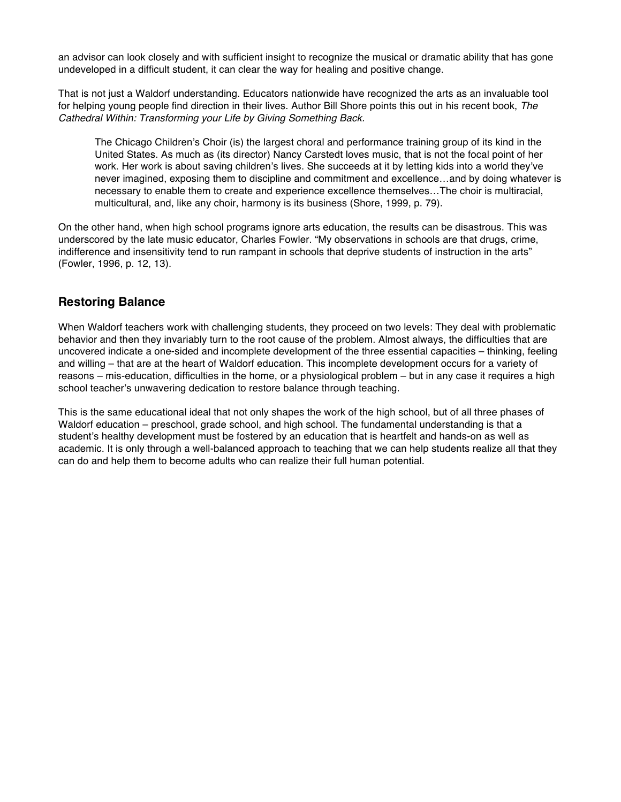an advisor can look closely and with sufficient insight to recognize the musical or dramatic ability that has gone undeveloped in a difficult student, it can clear the way for healing and positive change.

That is not just a Waldorf understanding. Educators nationwide have recognized the arts as an invaluable tool for helping young people find direction in their lives. Author Bill Shore points this out in his recent book, *The Cathedral Within: Transforming your Life by Giving Something Back.*

The Chicago Children's Choir (is) the largest choral and performance training group of its kind in the United States. As much as (its director) Nancy Carstedt loves music, that is not the focal point of her work. Her work is about saving children's lives. She succeeds at it by letting kids into a world they've never imagined, exposing them to discipline and commitment and excellence…and by doing whatever is necessary to enable them to create and experience excellence themselves…The choir is multiracial, multicultural, and, like any choir, harmony is its business (Shore, 1999, p. 79).

On the other hand, when high school programs ignore arts education, the results can be disastrous. This was underscored by the late music educator, Charles Fowler. "My observations in schools are that drugs, crime, indifference and insensitivity tend to run rampant in schools that deprive students of instruction in the arts" (Fowler, 1996, p. 12, 13).

#### **Restoring Balance**

When Waldorf teachers work with challenging students, they proceed on two levels: They deal with problematic behavior and then they invariably turn to the root cause of the problem. Almost always, the difficulties that are uncovered indicate a one-sided and incomplete development of the three essential capacities – thinking, feeling and willing – that are at the heart of Waldorf education. This incomplete development occurs for a variety of reasons – mis-education, difficulties in the home, or a physiological problem – but in any case it requires a high school teacher's unwavering dedication to restore balance through teaching.

This is the same educational ideal that not only shapes the work of the high school, but of all three phases of Waldorf education – preschool, grade school, and high school. The fundamental understanding is that a student's healthy development must be fostered by an education that is heartfelt and hands-on as well as academic. It is only through a well-balanced approach to teaching that we can help students realize all that they can do and help them to become adults who can realize their full human potential.